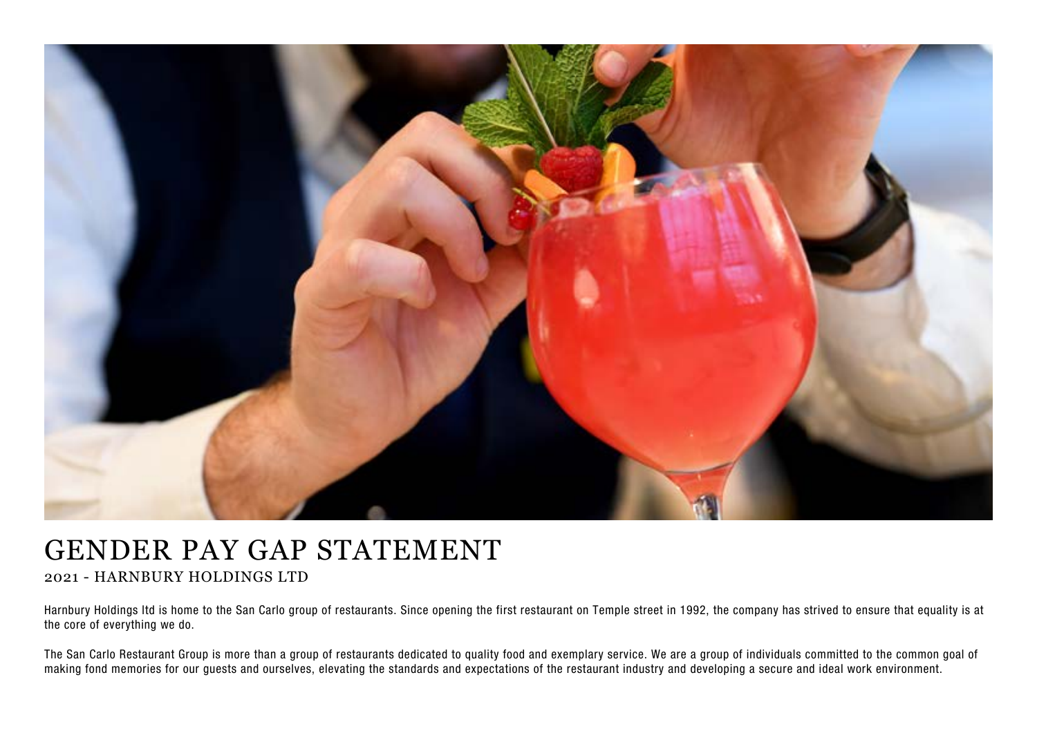

## GENDER PAY GAP STATEMENT

2021 - HARNBURY HOLDINGS LTD

Harnbury Holdings ltd is home to the San Carlo group of restaurants. Since opening the first restaurant on Temple street in 1992, the company has strived to ensure that equality is at the core of everything we do.

The San Carlo Restaurant Group is more than a group of restaurants dedicated to quality food and exemplary service. We are a group of individuals committed to the common goal of making fond memories for our guests and ourselves, elevating the standards and expectations of the restaurant industry and developing a secure and ideal work environment.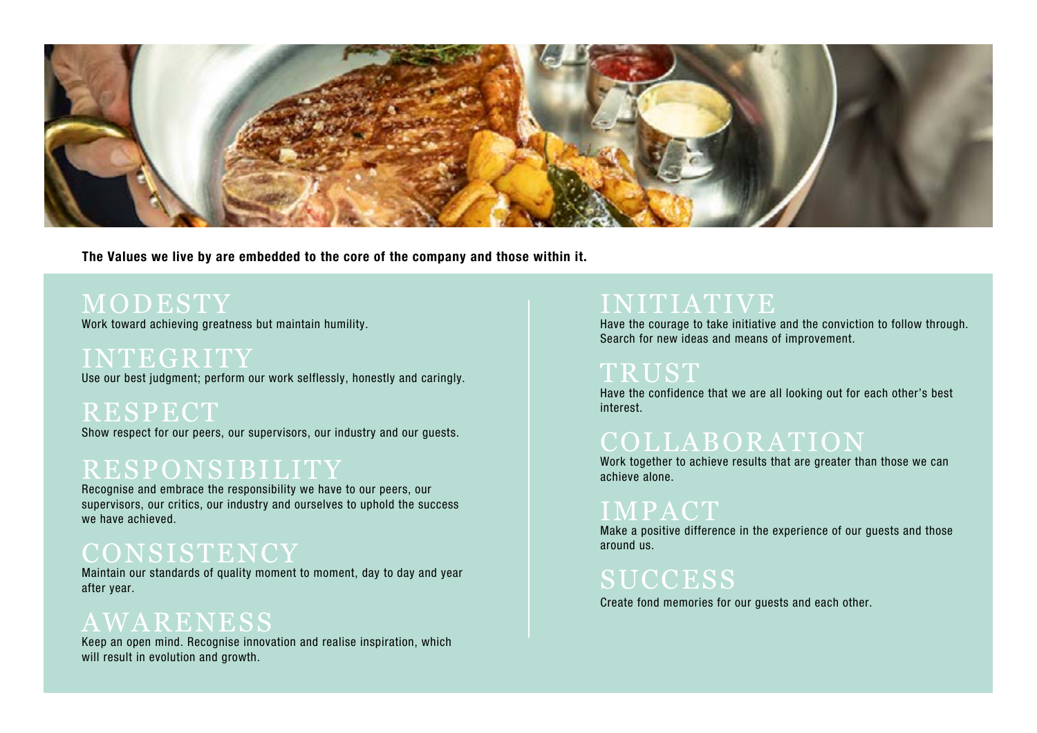

The Values we live by are embedded to the core of the company and those within it.

## MODESTY

Work toward achieving greatness but maintain humility.

INTEGRITY Use our best judgment; perform our work selflessly, honestly and caringly.

**RESPECT** Show respect for our peers, our supervisors, our industry and our guests.

# RESPONSIBILITY

Recognise and embrace the responsibility we have to our peers, our supervisors, our critics, our industry and ourselves to uphold the success we have achieved.

### CONSISTENCY

Maintain our standards of quality moment to moment, day to day and year after year.

## AWARENESS

Keep an open mind. Recognise innovation and realise inspiration, which will result in evolution and growth.

## INITIATIVE

Have the courage to take initiative and the conviction to follow through. Search for new ideas and means of improvement.

#### TRUST

Have the confidence that we are all looking out for each other's best interest.

## COLLABORATION

Work together to achieve results that are greater than those we can achieve alone.

### IMPACT

Make a positive difference in the experience of our guests and those around us.

## SUCCESS

Create fond memories for our guests and each other.